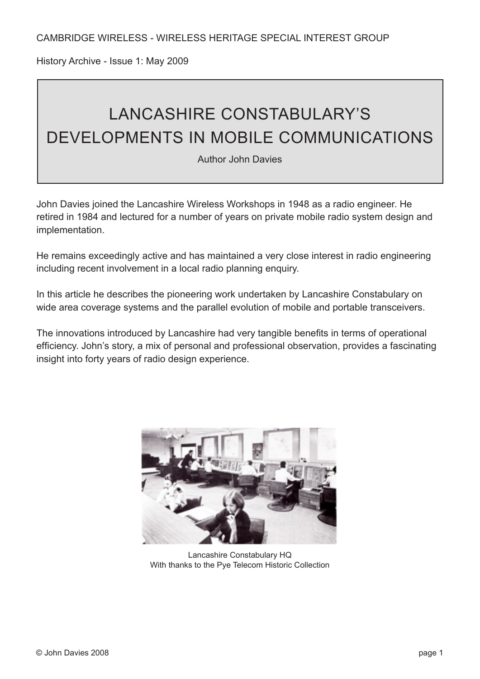History Archive - Issue 1: May 2009

# LANCASHIRE CONSTABULARY'S DEVELOPMENTS IN MOBILE COMMUNICATIONS

Author John Davies

John Davies joined the Lancashire Wireless Workshops in 1948 as a radio engineer. He retired in 1984 and lectured for a number of years on private mobile radio system design and implementation.

He remains exceedingly active and has maintained a very close interest in radio engineering including recent involvement in a local radio planning enquiry.

In this article he describes the pioneering work undertaken by Lancashire Constabulary on wide area coverage systems and the parallel evolution of mobile and portable transceivers.

The innovations introduced by Lancashire had very tangible benefits in terms of operational efficiency. John's story, a mix of personal and professional observation, provides a fascinating insight into forty years of radio design experience.



Lancashire Constabulary HQ With thanks to the Pye Telecom Historic Collection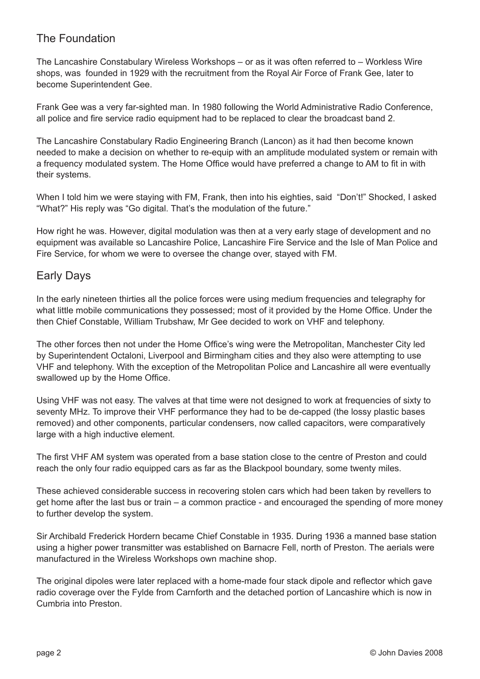# The Foundation

The Lancashire Constabulary Wireless Workshops – or as it was often referred to – Workless Wire shops, was founded in 1929 with the recruitment from the Royal Air Force of Frank Gee, later to become Superintendent Gee.

Frank Gee was a very far-sighted man. In 1980 following the World Administrative Radio Conference, all police and fire service radio equipment had to be replaced to clear the broadcast band 2.

The Lancashire Constabulary Radio Engineering Branch (Lancon) as it had then become known needed to make a decision on whether to re-equip with an amplitude modulated system or remain with a frequency modulated system. The Home Office would have preferred a change to AM to fit in with their systems.

When I told him we were staying with FM, Frank, then into his eighties, said "Don't!" Shocked, I asked "What?" His reply was "Go digital. That's the modulation of the future."

How right he was. However, digital modulation was then at a very early stage of development and no equipment was available so Lancashire Police, Lancashire Fire Service and the Isle of Man Police and Fire Service, for whom we were to oversee the change over, stayed with FM.

#### Early Days

In the early nineteen thirties all the police forces were using medium frequencies and telegraphy for what little mobile communications they possessed; most of it provided by the Home Office. Under the then Chief Constable, William Trubshaw, Mr Gee decided to work on VHF and telephony.

The other forces then not under the Home Office's wing were the Metropolitan, Manchester City led by Superintendent Octaloni, Liverpool and Birmingham cities and they also were attempting to use VHF and telephony. With the exception of the Metropolitan Police and Lancashire all were eventually swallowed up by the Home Office.

Using VHF was not easy. The valves at that time were not designed to work at frequencies of sixty to seventy MHz. To improve their VHF performance they had to be de-capped (the lossy plastic bases removed) and other components, particular condensers, now called capacitors, were comparatively large with a high inductive element.

The first VHF AM system was operated from a base station close to the centre of Preston and could reach the only four radio equipped cars as far as the Blackpool boundary, some twenty miles.

These achieved considerable success in recovering stolen cars which had been taken by revellers to get home after the last bus or train – a common practice - and encouraged the spending of more money to further develop the system.

Sir Archibald Frederick Hordern became Chief Constable in 1935. During 1936 a manned base station using a higher power transmitter was established on Barnacre Fell, north of Preston. The aerials were manufactured in the Wireless Workshops own machine shop.

The original dipoles were later replaced with a home-made four stack dipole and reflector which gave radio coverage over the Fylde from Carnforth and the detached portion of Lancashire which is now in Cumbria into Preston.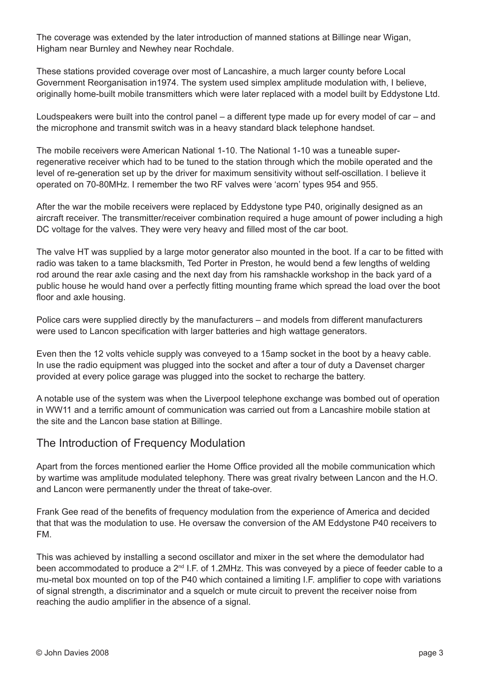The coverage was extended by the later introduction of manned stations at Billinge near Wigan, Higham near Burnley and Newhey near Rochdale.

These stations provided coverage over most of Lancashire, a much larger county before Local Government Reorganisation in1974. The system used simplex amplitude modulation with, I believe, originally home-built mobile transmitters which were later replaced with a model built by Eddystone Ltd.

Loudspeakers were built into the control panel – a different type made up for every model of car – and the microphone and transmit switch was in a heavy standard black telephone handset.

The mobile receivers were American National 1-10. The National 1-10 was a tuneable superregenerative receiver which had to be tuned to the station through which the mobile operated and the level of re-generation set up by the driver for maximum sensitivity without self-oscillation. I believe it operated on 70-80MHz. I remember the two RF valves were 'acorn' types 954 and 955.

After the war the mobile receivers were replaced by Eddystone type P40, originally designed as an aircraft receiver. The transmitter/receiver combination required a huge amount of power including a high DC voltage for the valves. They were very heavy and filled most of the car boot.

The valve HT was supplied by a large motor generator also mounted in the boot. If a car to be fitted with radio was taken to a tame blacksmith, Ted Porter in Preston, he would bend a few lengths of welding rod around the rear axle casing and the next day from his ramshackle workshop in the back yard of a public house he would hand over a perfectly fitting mounting frame which spread the load over the boot floor and axle housing.

Police cars were supplied directly by the manufacturers – and models from different manufacturers were used to Lancon specification with larger batteries and high wattage generators.

Even then the 12 volts vehicle supply was conveyed to a 15amp socket in the boot by a heavy cable. In use the radio equipment was plugged into the socket and after a tour of duty a Davenset charger provided at every police garage was plugged into the socket to recharge the battery.

A notable use of the system was when the Liverpool telephone exchange was bombed out of operation in WW11 and a terrific amount of communication was carried out from a Lancashire mobile station at the site and the Lancon base station at Billinge.

#### The Introduction of Frequency Modulation

Apart from the forces mentioned earlier the Home Office provided all the mobile communication which by wartime was amplitude modulated telephony. There was great rivalry between Lancon and the H.O. and Lancon were permanently under the threat of take-over.

Frank Gee read of the benefits of frequency modulation from the experience of America and decided that that was the modulation to use. He oversaw the conversion of the AM Eddystone P40 receivers to FM.

This was achieved by installing a second oscillator and mixer in the set where the demodulator had been accommodated to produce a 2<sup>nd</sup> I.F. of 1.2MHz. This was conveyed by a piece of feeder cable to a mu-metal box mounted on top of the P40 which contained a limiting I.F. amplifier to cope with variations of signal strength, a discriminator and a squelch or mute circuit to prevent the receiver noise from reaching the audio amplifier in the absence of a signal.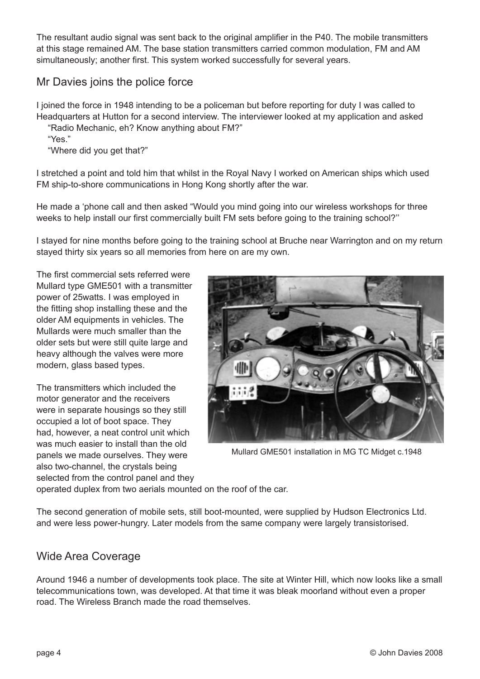The resultant audio signal was sent back to the original amplifier in the P40. The mobile transmitters at this stage remained AM. The base station transmitters carried common modulation, FM and AM simultaneously; another first. This system worked successfully for several years.

## Mr Davies joins the police force

I joined the force in 1948 intending to be a policeman but before reporting for duty I was called to Headquarters at Hutton for a second interview. The interviewer looked at my application and asked

- "Radio Mechanic, eh? Know anything about FM?"
- "Yes."

"Where did you get that?"

I stretched a point and told him that whilst in the Royal Navy I worked on American ships which used FM ship-to-shore communications in Hong Kong shortly after the war.

He made a 'phone call and then asked "Would you mind going into our wireless workshops for three weeks to help install our first commercially built FM sets before going to the training school?''

I stayed for nine months before going to the training school at Bruche near Warrington and on my return stayed thirty six years so all memories from here on are my own.

The first commercial sets referred were Mullard type GME501 with a transmitter power of 25watts. I was employed in the fitting shop installing these and the older AM equipments in vehicles. The Mullards were much smaller than the older sets but were still quite large and heavy although the valves were more modern, glass based types.

The transmitters which included the motor generator and the receivers were in separate housings so they still occupied a lot of boot space. They had, however, a neat control unit which was much easier to install than the old panels we made ourselves. They were also two-channel, the crystals being selected from the control panel and they



Mullard GME501 installation in MG TC Midget c.1948

operated duplex from two aerials mounted on the roof of the car.

The second generation of mobile sets, still boot-mounted, were supplied by Hudson Electronics Ltd. and were less power-hungry. Later models from the same company were largely transistorised.

## Wide Area Coverage

Around 1946 a number of developments took place. The site at Winter Hill, which now looks like a small telecommunications town, was developed. At that time it was bleak moorland without even a proper road. The Wireless Branch made the road themselves.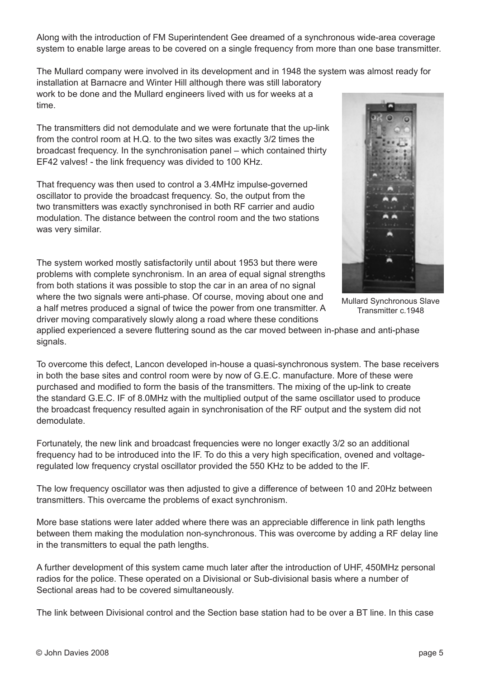Along with the introduction of FM Superintendent Gee dreamed of a synchronous wide-area coverage system to enable large areas to be covered on a single frequency from more than one base transmitter.

The Mullard company were involved in its development and in 1948 the system was almost ready for

installation at Barnacre and Winter Hill although there was still laboratory work to be done and the Mullard engineers lived with us for weeks at a time.

The transmitters did not demodulate and we were fortunate that the up-link from the control room at H.Q. to the two sites was exactly 3/2 times the broadcast frequency. In the synchronisation panel – which contained thirty EF42 valves! - the link frequency was divided to 100 KHz.

That frequency was then used to control a 3.4MHz impulse-governed oscillator to provide the broadcast frequency. So, the output from the two transmitters was exactly synchronised in both RF carrier and audio modulation. The distance between the control room and the two stations was very similar.

The system worked mostly satisfactorily until about 1953 but there were problems with complete synchronism. In an area of equal signal strengths from both stations it was possible to stop the car in an area of no signal where the two signals were anti-phase. Of course, moving about one and a half metres produced a signal of twice the power from one transmitter. A driver moving comparatively slowly along a road where these conditions



Mullard Synchronous Slave Transmitter c.1948

applied experienced a severe fluttering sound as the car moved between in-phase and anti-phase signals.

To overcome this defect, Lancon developed in-house a quasi-synchronous system. The base receivers in both the base sites and control room were by now of G.E.C. manufacture. More of these were purchased and modified to form the basis of the transmitters. The mixing of the up-link to create the standard G.E.C. IF of 8.0MHz with the multiplied output of the same oscillator used to produce the broadcast frequency resulted again in synchronisation of the RF output and the system did not demodulate.

Fortunately, the new link and broadcast frequencies were no longer exactly 3/2 so an additional frequency had to be introduced into the IF. To do this a very high specification, ovened and voltageregulated low frequency crystal oscillator provided the 550 KHz to be added to the IF.

The low frequency oscillator was then adjusted to give a difference of between 10 and 20Hz between transmitters. This overcame the problems of exact synchronism.

More base stations were later added where there was an appreciable difference in link path lengths between them making the modulation non-synchronous. This was overcome by adding a RF delay line in the transmitters to equal the path lengths.

A further development of this system came much later after the introduction of UHF, 450MHz personal radios for the police. These operated on a Divisional or Sub-divisional basis where a number of Sectional areas had to be covered simultaneously.

The link between Divisional control and the Section base station had to be over a BT line. In this case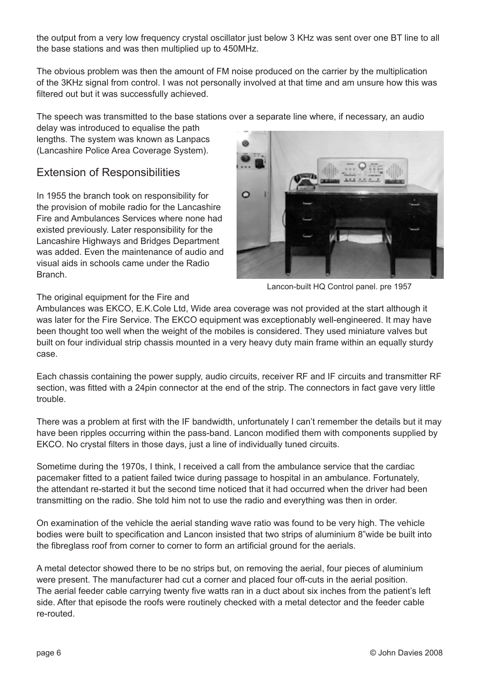the output from a very low frequency crystal oscillator just below 3 KHz was sent over one BT line to all the base stations and was then multiplied up to 450MHz.

The obvious problem was then the amount of FM noise produced on the carrier by the multiplication of the 3KHz signal from control. I was not personally involved at that time and am unsure how this was filtered out but it was successfully achieved.

The speech was transmitted to the base stations over a separate line where, if necessary, an audio

delay was introduced to equalise the path lengths. The system was known as Lanpacs (Lancashire Police Area Coverage System).

#### Extension of Responsibilities

In 1955 the branch took on responsibility for the provision of mobile radio for the Lancashire Fire and Ambulances Services where none had existed previously. Later responsibility for the Lancashire Highways and Bridges Department was added. Even the maintenance of audio and visual aids in schools came under the Radio Branch.



Lancon-built HQ Control panel. pre 1957

#### The original equipment for the Fire and

Ambulances was EKCO, E.K.Cole Ltd, Wide area coverage was not provided at the start although it was later for the Fire Service. The EKCO equipment was exceptionably well-engineered. It may have been thought too well when the weight of the mobiles is considered. They used miniature valves but built on four individual strip chassis mounted in a very heavy duty main frame within an equally sturdy case.

Each chassis containing the power supply, audio circuits, receiver RF and IF circuits and transmitter RF section, was fitted with a 24pin connector at the end of the strip. The connectors in fact gave very little trouble.

There was a problem at first with the IF bandwidth, unfortunately I can't remember the details but it may have been ripples occurring within the pass-band. Lancon modified them with components supplied by EKCO. No crystal filters in those days, just a line of individually tuned circuits.

Sometime during the 1970s, I think, I received a call from the ambulance service that the cardiac pacemaker fitted to a patient failed twice during passage to hospital in an ambulance. Fortunately, the attendant re-started it but the second time noticed that it had occurred when the driver had been transmitting on the radio. She told him not to use the radio and everything was then in order.

On examination of the vehicle the aerial standing wave ratio was found to be very high. The vehicle bodies were built to specification and Lancon insisted that two strips of aluminium 8"wide be built into the fibreglass roof from corner to corner to form an artificial ground for the aerials.

A metal detector showed there to be no strips but, on removing the aerial, four pieces of aluminium were present. The manufacturer had cut a corner and placed four off-cuts in the aerial position. The aerial feeder cable carrying twenty five watts ran in a duct about six inches from the patient's left side. After that episode the roofs were routinely checked with a metal detector and the feeder cable re-routed.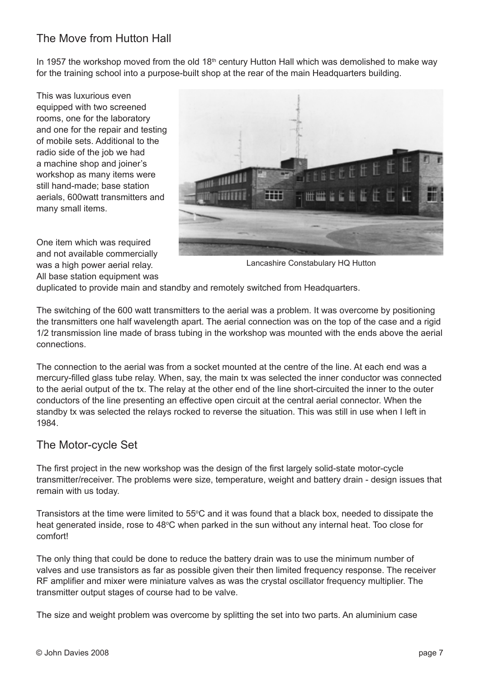# The Move from Hutton Hall

In 1957 the workshop moved from the old 18<sup>th</sup> century Hutton Hall which was demolished to make way for the training school into a purpose-built shop at the rear of the main Headquarters building.

This was luxurious even equipped with two screened rooms, one for the laboratory and one for the repair and testing of mobile sets. Additional to the radio side of the job we had a machine shop and joiner's workshop as many items were still hand-made; base station aerials, 600watt transmitters and many small items.

One item which was required and not available commercially was a high power aerial relay. All base station equipment was



Lancashire Constabulary HQ Hutton

duplicated to provide main and standby and remotely switched from Headquarters.

The switching of the 600 watt transmitters to the aerial was a problem. It was overcome by positioning the transmitters one half wavelength apart. The aerial connection was on the top of the case and a rigid 1/2 transmission line made of brass tubing in the workshop was mounted with the ends above the aerial connections.

The connection to the aerial was from a socket mounted at the centre of the line. At each end was a mercury-filled glass tube relay. When, say, the main tx was selected the inner conductor was connected to the aerial output of the tx. The relay at the other end of the line short-circuited the inner to the outer conductors of the line presenting an effective open circuit at the central aerial connector. When the standby tx was selected the relays rocked to reverse the situation. This was still in use when I left in 1984.

#### The Motor-cycle Set

The first project in the new workshop was the design of the first largely solid-state motor-cycle transmitter/receiver. The problems were size, temperature, weight and battery drain - design issues that remain with us today.

Transistors at the time were limited to 55°C and it was found that a black box, needed to dissipate the heat generated inside, rose to 48°C when parked in the sun without any internal heat. Too close for comfort!

The only thing that could be done to reduce the battery drain was to use the minimum number of valves and use transistors as far as possible given their then limited frequency response. The receiver RF amplifier and mixer were miniature valves as was the crystal oscillator frequency multiplier. The transmitter output stages of course had to be valve.

The size and weight problem was overcome by splitting the set into two parts. An aluminium case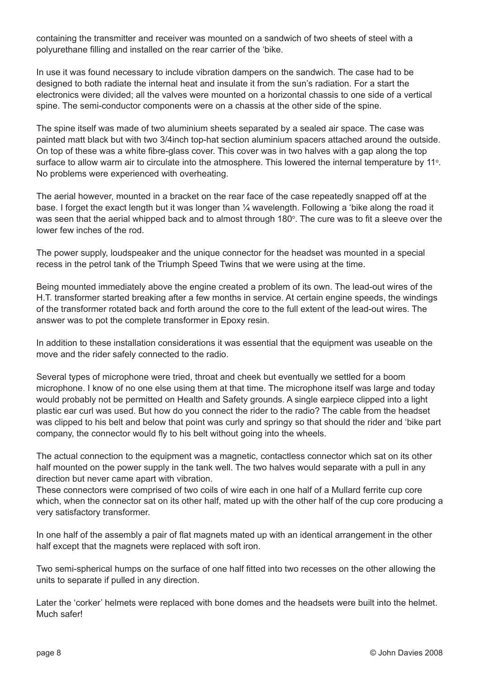containing the transmitter and receiver was mounted on a sandwich of two sheets of steel with a polyurethane filling and installed on the rear carrier of the 'bike.

In use it was found necessary to include vibration dampers on the sandwich. The case had to be designed to both radiate the internal heat and insulate it from the sun's radiation. For a start the electronics were divided; all the valves were mounted on a horizontal chassis to one side of a vertical spine. The semi-conductor components were on a chassis at the other side of the spine.

The spine itself was made of two aluminium sheets separated by a sealed air space. The case was painted matt black but with two 3/4inch top-hat section aluminium spacers attached around the outside. On top of these was a white fibre-glass cover. This cover was in two halves with a gap along the top surface to allow warm air to circulate into the atmosphere. This lowered the internal temperature by 11<sup>o</sup>. No problems were experienced with overheating.

The aerial however, mounted in a bracket on the rear face of the case repeatedly snapped off at the base. I forget the exact length but it was longer than ¼ wavelength. Following a 'bike along the road it was seen that the aerial whipped back and to almost through 180°. The cure was to fit a sleeve over the lower few inches of the rod.

The power supply, loudspeaker and the unique connector for the headset was mounted in a special recess in the petrol tank of the Triumph Speed Twins that we were using at the time.

Being mounted immediately above the engine created a problem of its own. The lead-out wires of the H.T. transformer started breaking after a few months in service. At certain engine speeds, the windings of the transformer rotated back and forth around the core to the full extent of the lead-out wires. The answer was to pot the complete transformer in Epoxy resin.

In addition to these installation considerations it was essential that the equipment was useable on the move and the rider safely connected to the radio.

Several types of microphone were tried, throat and cheek but eventually we settled for a boom microphone. I know of no one else using them at that time. The microphone itself was large and today would probably not be permitted on Health and Safety grounds. A single earpiece clipped into a light plastic ear curl was used. But how do you connect the rider to the radio? The cable from the headset was clipped to his belt and below that point was curly and springy so that should the rider and 'bike part company, the connector would fly to his belt without going into the wheels.

The actual connection to the equipment was a magnetic, contactless connector which sat on its other half mounted on the power supply in the tank well. The two halves would separate with a pull in any direction but never came apart with vibration.

These connectors were comprised of two coils of wire each in one half of a Mullard ferrite cup core which, when the connector sat on its other half, mated up with the other half of the cup core producing a very satisfactory transformer.

In one half of the assembly a pair of flat magnets mated up with an identical arrangement in the other half except that the magnets were replaced with soft iron.

Two semi-spherical humps on the surface of one half fitted into two recesses on the other allowing the units to separate if pulled in any direction.

Later the 'corker' helmets were replaced with bone domes and the headsets were built into the helmet. Much safer!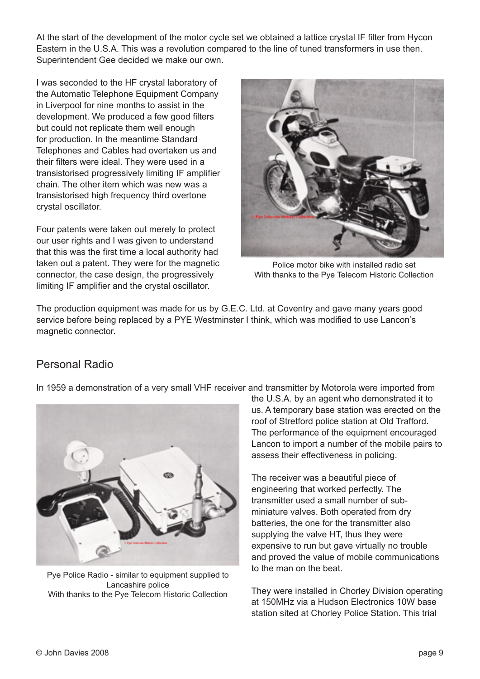At the start of the development of the motor cycle set we obtained a lattice crystal IF filter from Hycon Eastern in the U.S.A. This was a revolution compared to the line of tuned transformers in use then. Superintendent Gee decided we make our own.

I was seconded to the HF crystal laboratory of the Automatic Telephone Equipment Company in Liverpool for nine months to assist in the development. We produced a few good filters but could not replicate them well enough for production. In the meantime Standard Telephones and Cables had overtaken us and their filters were ideal. They were used in a transistorised progressively limiting IF amplifier chain. The other item which was new was a transistorised high frequency third overtone crystal oscillator.

Four patents were taken out merely to protect our user rights and I was given to understand that this was the first time a local authority had taken out a patent. They were for the magnetic connector, the case design, the progressively limiting IF amplifier and the crystal oscillator.



Police motor bike with installed radio set With thanks to the Pye Telecom Historic Collection

The production equipment was made for us by G.E.C. Ltd. at Coventry and gave many years good service before being replaced by a PYE Westminster I think, which was modified to use Lancon's magnetic connector.

# Personal Radio





Pye Police Radio - similar to equipment supplied to Lancashire police With thanks to the Pye Telecom Historic Collection

the U.S.A. by an agent who demonstrated it to us. A temporary base station was erected on the roof of Stretford police station at Old Trafford. The performance of the equipment encouraged Lancon to import a number of the mobile pairs to assess their effectiveness in policing.

The receiver was a beautiful piece of engineering that worked perfectly. The transmitter used a small number of subminiature valves. Both operated from dry batteries, the one for the transmitter also supplying the valve HT, thus they were expensive to run but gave virtually no trouble and proved the value of mobile communications to the man on the beat.

They were installed in Chorley Division operating at 150MHz via a Hudson Electronics 10W base station sited at Chorley Police Station. This trial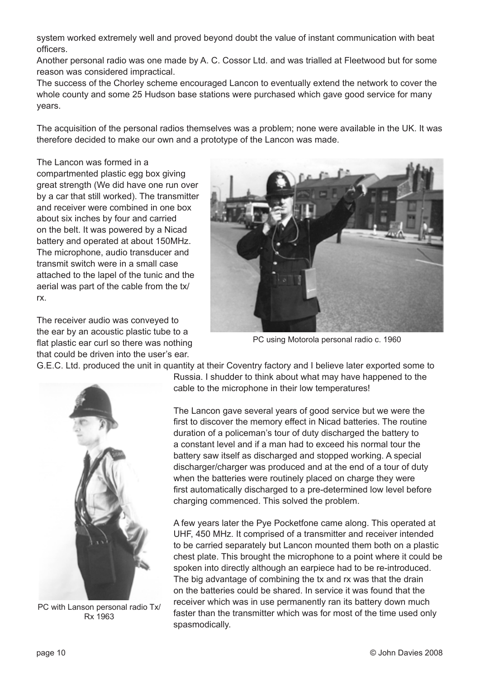system worked extremely well and proved beyond doubt the value of instant communication with beat officers.

Another personal radio was one made by A. C. Cossor Ltd. and was trialled at Fleetwood but for some reason was considered impractical.

The success of the Chorley scheme encouraged Lancon to eventually extend the network to cover the whole county and some 25 Hudson base stations were purchased which gave good service for many years.

The acquisition of the personal radios themselves was a problem; none were available in the UK. It was therefore decided to make our own and a prototype of the Lancon was made.

The Lancon was formed in a compartmented plastic egg box giving great strength (We did have one run over by a car that still worked). The transmitter and receiver were combined in one box about six inches by four and carried on the belt. It was powered by a Nicad battery and operated at about 150MHz. The microphone, audio transducer and transmit switch were in a small case attached to the lapel of the tunic and the aerial was part of the cable from the tx/ rx.

The receiver audio was conveyed to the ear by an acoustic plastic tube to a flat plastic ear curl so there was nothing that could be driven into the user's ear.



PC using Motorola personal radio c. 1960



G.E.C. Ltd. produced the unit in quantity at their Coventry factory and I believe later exported some to Russia. I shudder to think about what may have happened to the cable to the microphone in their low temperatures!

> The Lancon gave several years of good service but we were the first to discover the memory effect in Nicad batteries. The routine duration of a policeman's tour of duty discharged the battery to a constant level and if a man had to exceed his normal tour the battery saw itself as discharged and stopped working. A special discharger/charger was produced and at the end of a tour of duty when the batteries were routinely placed on charge they were first automatically discharged to a pre-determined low level before charging commenced. This solved the problem.

A few years later the Pye Pocketfone came along. This operated at UHF, 450 MHz. It comprised of a transmitter and receiver intended to be carried separately but Lancon mounted them both on a plastic chest plate. This brought the microphone to a point where it could be spoken into directly although an earpiece had to be re-introduced. The big advantage of combining the tx and rx was that the drain on the batteries could be shared. In service it was found that the receiver which was in use permanently ran its battery down much faster than the transmitter which was for most of the time used only spasmodically.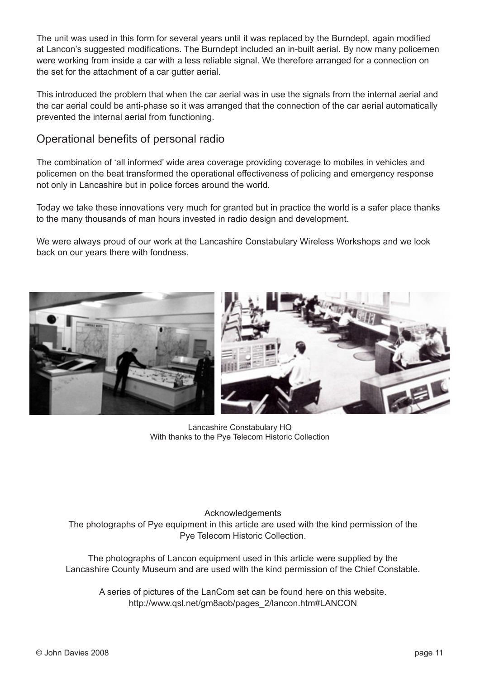The unit was used in this form for several years until it was replaced by the Burndept, again modified at Lancon's suggested modifications. The Burndept included an in-built aerial. By now many policemen were working from inside a car with a less reliable signal. We therefore arranged for a connection on the set for the attachment of a car gutter aerial.

This introduced the problem that when the car aerial was in use the signals from the internal aerial and the car aerial could be anti-phase so it was arranged that the connection of the car aerial automatically prevented the internal aerial from functioning.

#### Operational benefits of personal radio

The combination of 'all informed' wide area coverage providing coverage to mobiles in vehicles and policemen on the beat transformed the operational effectiveness of policing and emergency response not only in Lancashire but in police forces around the world.

Today we take these innovations very much for granted but in practice the world is a safer place thanks to the many thousands of man hours invested in radio design and development.

We were always proud of our work at the Lancashire Constabulary Wireless Workshops and we look back on our years there with fondness.



Lancashire Constabulary HQ With thanks to the Pye Telecom Historic Collection

#### Acknowledgements The photographs of Pye equipment in this article are used with the kind permission of the Pye Telecom Historic Collection.

The photographs of Lancon equipment used in this article were supplied by the Lancashire County Museum and are used with the kind permission of the Chief Constable.

A series of pictures of the LanCom set can be found here on this website. http://www.qsl.net/gm8aob/pages\_2/lancon.htm#LANCON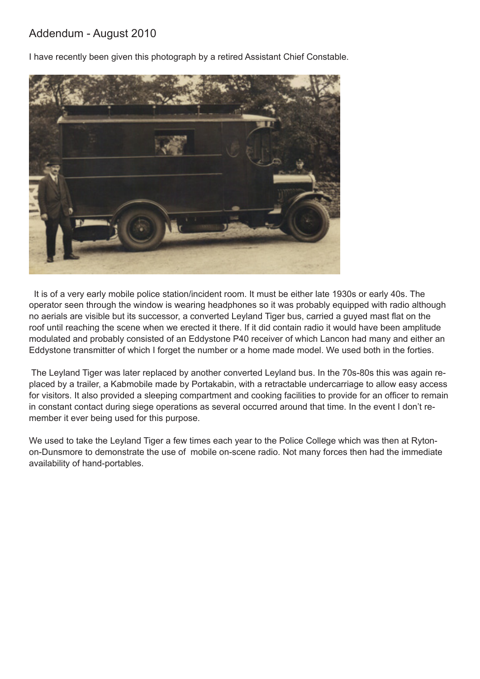## Addendum - August 2010

I have recently been given this photograph by a retired Assistant Chief Constable.



 It is of a very early mobile police station/incident room. It must be either late 1930s or early 40s. The operator seen through the window is wearing headphones so it was probably equipped with radio although no aerials are visible but its successor, a converted Leyland Tiger bus, carried a guyed mast flat on the roof until reaching the scene when we erected it there. If it did contain radio it would have been amplitude modulated and probably consisted of an Eddystone P40 receiver of which Lancon had many and either an Eddystone transmitter of which I forget the number or a home made model. We used both in the forties.

 The Leyland Tiger was later replaced by another converted Leyland bus. In the 70s-80s this was again replaced by a trailer, a Kabmobile made by Portakabin, with a retractable undercarriage to allow easy access for visitors. It also provided a sleeping compartment and cooking facilities to provide for an officer to remain in constant contact during siege operations as several occurred around that time. In the event I don't remember it ever being used for this purpose.

We used to take the Leyland Tiger a few times each year to the Police College which was then at Rytonon-Dunsmore to demonstrate the use of mobile on-scene radio. Not many forces then had the immediate availability of hand-portables.